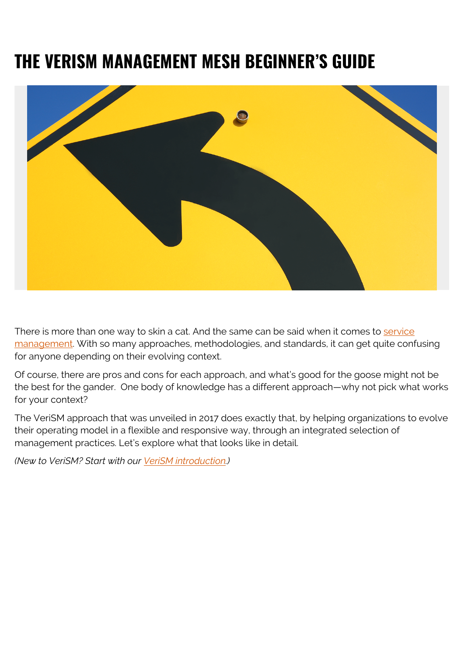# **THE VERISM MANAGEMENT MESH BEGINNER'S GUIDE**



There is more than one way to skin a cat. And the same can be said when it comes to [service](https://blogs.bmc.com/blogs/itsm/) [management](https://blogs.bmc.com/blogs/itsm/). With so many approaches, methodologies, and standards, it can get quite confusing for anyone depending on their evolving context.

Of course, there are pros and cons for each approach, and what's good for the goose might not be the best for the gander. One body of knowledge has a different approach—why not pick what works for your context?

The VeriSM approach that was unveiled in 2017 does exactly that, by helping organizations to evolve their operating model in a flexible and responsive way, through an integrated selection of management practices. Let's explore what that looks like in detail.

*(New to VeriSM? Start with our [VeriSM introduction.](https://blogs.bmc.com/blogs/verism-introduction/))*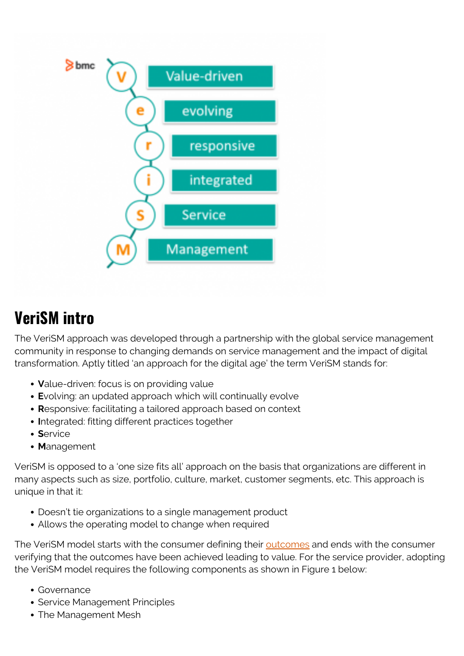

## **VeriSM intro**

The VeriSM approach was developed through a partnership with the global service management community in response to changing demands on service management and the impact of digital transformation. Aptly titled 'an approach for the digital age' the term VeriSM stands for:

- **V**alue-driven: focus is on providing value
- **E**volving: an updated approach which will continually evolve
- **R**esponsive: facilitating a tailored approach based on context
- **I**ntegrated: fitting different practices together
- **S**ervice
- **M**anagement

VeriSM is opposed to a 'one size fits all' approach on the basis that organizations are different in many aspects such as size, portfolio, culture, market, customer segments, etc. This approach is unique in that it:

- Doesn't tie organizations to a single management product
- Allows the operating model to change when required

The VeriSM model starts with the consumer defining their [outcomes](https://blogs.bmc.com/blogs/outcomes-vs-outputs) and ends with the consumer verifying that the outcomes have been achieved leading to value. For the service provider, adopting the VeriSM model requires the following components as shown in Figure 1 below:

- Governance
- Service Management Principles
- The Management Mesh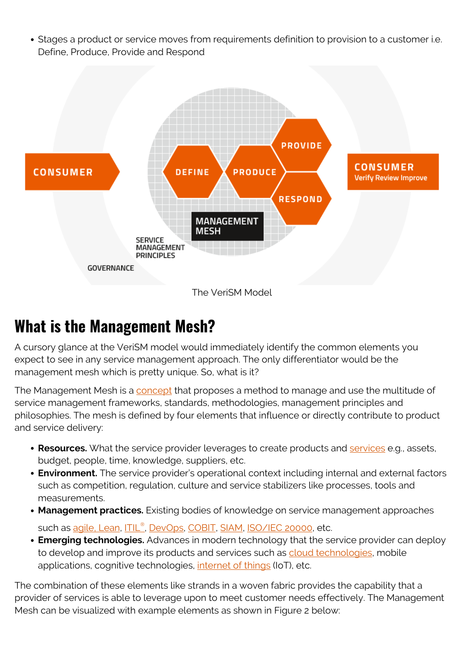Stages a product or service moves from requirements definition to provision to a customer i.e. Define, Produce, Provide and Respond



#### **What is the Management Mesh?**

A cursory glance at the VeriSM model would immediately identify the common elements you expect to see in any service management approach. The only differentiator would be the management mesh which is pretty unique. So, what is it?

The Management Mesh is a [concept](https://web.archive.org/web/20201117174333/https://www.exin.com/verism/management-mesh-getting-started/) that proposes a method to manage and use the multitude of service management frameworks, standards, methodologies, management principles and philosophies. The mesh is defined by four elements that influence or directly contribute to product and service delivery:

- **Resources.** What the service provider leverages to create products and **[services](https://blogs.bmc.com/blogs/it-service/)** e.g., assets, budget, people, time, knowledge, suppliers, etc.
- **Environment.** The service provider's operational context including internal and external factors such as competition, regulation, culture and service stabilizers like processes, tools and measurements.
- **Management practices.** Existing bodies of knowledge on service management approaches such as <u>[agile, Lean](https://blogs.bmc.com/blogs/design-thinking-vs-lean-vs-agile/), [ITIL](https://blogs.bmc.com/blogs/itil-4/)[®](https://blogs.bmc.com/blogs/itil-4/), [DevOps,](https://blogs.bmc.com/blogs/devops-basics-introduction/) [COBIT,](https://blogs.bmc.com/blogs/cobit/) [SIAM,](https://blogs.bmc.com/blogs/service-integration-and-management-siam-for-beginners/) [ISO/IEC 20000](https://blogs.bmc.com/blogs/iso-iec-20000/)</u>, etc.
- **Emerging technologies.** Advances in modern technology that the service provider can deploy to develop and improve its products and services such as [cloud technologies,](https://blogs.bmc.com/blogs/saas-vs-paas-vs-iaas-whats-the-difference-and-how-to-choose/) mobile applications, cognitive technologies, [internet of things](https://blogs.bmc.com/blogs/iot-internet-of-things/) (IoT), etc.

The combination of these elements like strands in a woven fabric provides the capability that a provider of services is able to leverage upon to meet customer needs effectively. The Management Mesh can be visualized with example elements as shown in Figure 2 below: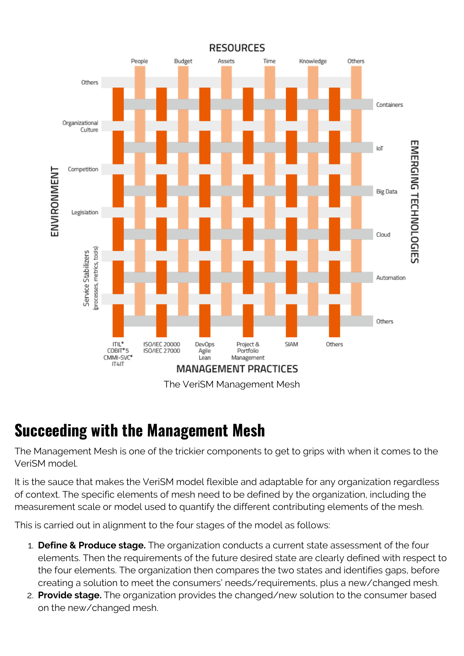

#### **Succeeding with the Management Mesh**

The Management Mesh is one of the trickier components to get to grips with when it comes to the VeriSM model.

It is the sauce that makes the VeriSM model flexible and adaptable for any organization regardless of context. The specific elements of mesh need to be defined by the organization, including the measurement scale or model used to quantify the different contributing elements of the mesh.

This is carried out in alignment to the four stages of the model as follows:

- 1. **Define & Produce stage.** The organization conducts a current state assessment of the four elements. Then the requirements of the future desired state are clearly defined with respect to the four elements. The organization then compares the two states and identifies gaps, before creating a solution to meet the consumers' needs/requirements, plus a new/changed mesh.
- 2. **Provide stage.** The organization provides the changed/new solution to the consumer based on the new/changed mesh.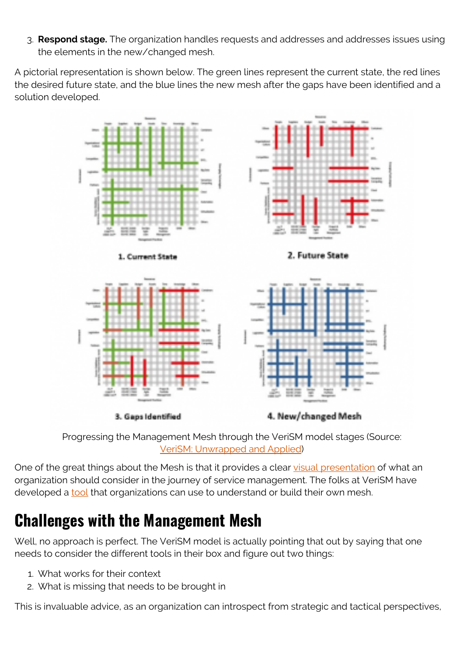3. **Respond stage.** The organization handles requests and addresses and addresses issues using the elements in the new/changed mesh.

A pictorial representation is shown below. The green lines represent the current state, the red lines the desired future state, and the blue lines the new mesh after the gaps have been identified and a solution developed.



Progressing the Management Mesh through the VeriSM model stages (Source: [VeriSM: Unwrapped and Applied\)](https://verism.global/verism-article/launch-of-verism-unwrapped-and-applied-a-big-thank-you/)

One of the great things about the Mesh is that it provides a clear [visual presentation](https://blogs.bmc.com/blogs/data-visualization/) of what an organization should consider in the journey of service management. The folks at VeriSM have developed a **[tool](https://web.archive.org/web/20201117174333/https://www.exin.com/verism/management-mesh-getting-started/)** that organizations can use to understand or build their own mesh.

## **Challenges with the Management Mesh**

Well, no approach is perfect. The VeriSM model is actually pointing that out by saying that one needs to consider the different tools in their box and figure out two things:

- 1. What works for their context
- 2. What is missing that needs to be brought in

This is invaluable advice, as an organization can introspect from strategic and tactical perspectives,